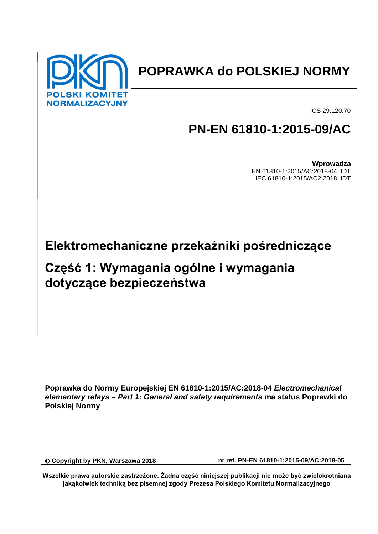

# **POPRAWKA do POLSKIEJ NORMY**

ICS 29.120.70

# **PN-EN 61810-1:2015-09/AC**

**Wprowadza** EN 61810-1:2015/AC:2018-04, IDT IEC 61810-1:2015/AC2:2018, IDT

# **Elektromechaniczne przekaźniki pośredniczące**

## **Część 1: Wymagania ogólne i wymagania dotyczące bezpieczeństwa**

**Poprawka do Normy Europejskiej EN 61810-1:2015/AC:2018-04** *Electromechanical elementary relays – Part 1: General and safety requirements* **ma status Poprawki do Polskiej Normy**

**Copyright by PKN, Warszawa 2018 nr ref. PN-EN 61810-1:2015-09/AC:2018-05**

**Wszelkie prawa autorskie zastrzeżone. Żadna część niniejszej publikacji nie może być zwielokrotniana jakąkolwiek techniką bez pisemnej zgody Prezesa Polskiego Komitetu Normalizacyjnego**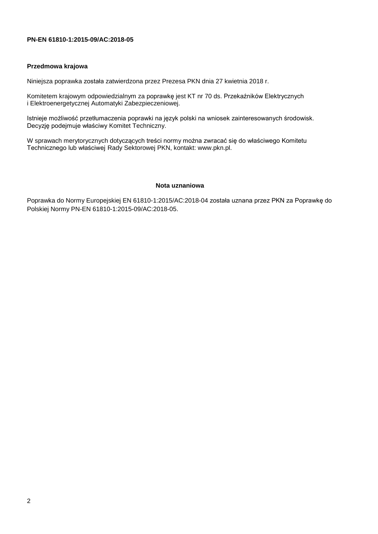### **PN-EN 61810-1:2015-09/AC:2018-05**

### **Przedmowa krajowa**

Niniejsza poprawka została zatwierdzona przez Prezesa PKN dnia 27 kwietnia 2018 r.

Komitetem krajowym odpowiedzialnym za poprawkę jest KT nr 70 ds. Przekaźników Elektrycznych i Elektroenergetycznej Automatyki Zabezpieczeniowej.

Istnieje możliwość przetłumaczenia poprawki na język polski na wniosek zainteresowanych środowisk. Decyzję podejmuje właściwy Komitet Techniczny.

W sprawach merytorycznych dotyczących treści normy można zwracać się do właściwego Komitetu Technicznego lub właściwej Rady Sektorowej PKN, kontakt: www.pkn.pl.

#### **Nota uznaniowa**

Poprawka do Normy Europejskiej EN 61810-1:2015/AC:2018-04 została uznana przez PKN za Poprawkę do Polskiej Normy PN-EN 61810-1:2015-09/AC:2018-05.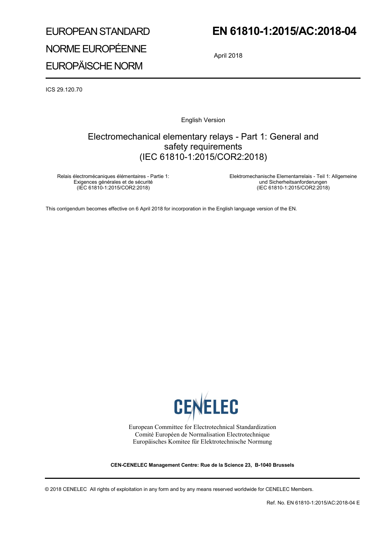# EUROPEAN STANDARD NORME EUROPÉENNE EUROPÄISCHE NORM

## **EN 61810-1:2015/AC:2018-04**

April 2018

ICS 29.120.70

English Version

## Electromechanical elementary relays - Part 1: General and safety requirements (IEC 61810-1:2015/COR2:2018)

Relais électromécaniques élémentaires - Partie 1: Exigences générales et de sécurité (IEC 61810-1:2015/COR2:2018)

 Elektromechanische Elementarrelais - Teil 1: Allgemeine und Sicherheitsanforderungen (IEC 61810-1:2015/COR2:2018)

This corrigendum becomes effective on 6 April 2018 for incorporation in the English language version of the EN.



European Committee for Electrotechnical Standardization Comité Européen de Normalisation Electrotechnique Europäisches Komitee für Elektrotechnische Normung

**CEN-CENELEC Management Centre: Rue de la Science 23, B-1040 Brussels** 

© 2018 CENELEC All rights of exploitation in any form and by any means reserved worldwide for CENELEC Members.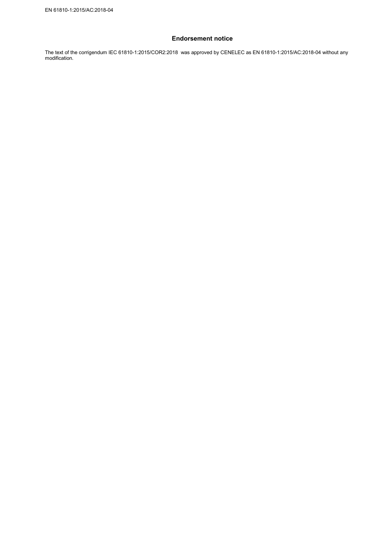### **Endorsement notice**

The text of the corrigendum IEC 61810-1:2015/COR2:2018 was approved by CENELEC as EN 61810-1:2015/AC:2018-04 without any modification.